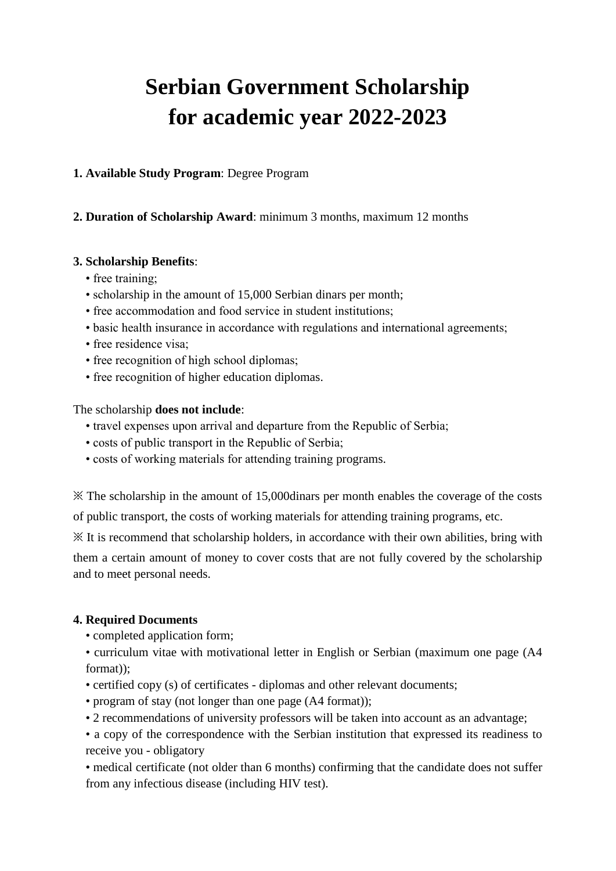# **Serbian Government Scholarship for academic year 2022-2023**

### **1. Available Study Program**: Degree Program

## **2. Duration of Scholarship Award**: minimum 3 months, maximum 12 months

### **3. Scholarship Benefits**:

- free training;
- scholarship in the amount of 15,000 Serbian dinars per month;
- free accommodation and food service in student institutions;
- basic health insurance in accordance with regulations and international agreements;
- free residence visa;
- free recognition of high school diplomas;
- free recognition of higher education diplomas.

### The scholarship **does not include**:

- travel expenses upon arrival and departure from the Republic of Serbia;
- costs of public transport in the Republic of Serbia;
- costs of working materials for attending training programs.

※ The scholarship in the amount of 15,000dinars per month enables the coverage of the costs of public transport, the costs of working materials for attending training programs, etc.

※ It is recommend that scholarship holders, in accordance with their own abilities, bring with them a certain amount of money to cover costs that are not fully covered by the scholarship and to meet personal needs.

### **4. Required Documents**

- completed application form;
- curriculum vitae with motivational letter in English or Serbian (maximum one page (A4 format));
- certified copy (s) of certificates diplomas and other relevant documents;
- program of stay (not longer than one page (A4 format));
- 2 recommendations of university professors will be taken into account as an advantage;
- a copy of the correspondence with the Serbian institution that expressed its readiness to receive you - obligatory

• medical certificate (not older than 6 months) confirming that the candidate does not suffer from any infectious disease (including HIV test).